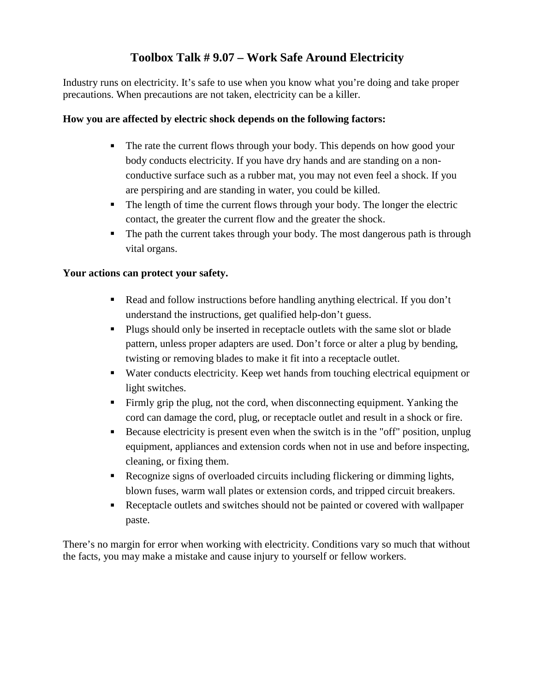### **Toolbox Talk # 9.07 – Work Safe Around Electricity**

Industry runs on electricity. It's safe to use when you know what you're doing and take proper precautions. When precautions are not taken, electricity can be a killer.

### **How you are affected by electric shock depends on the following factors:**

- The rate the current flows through your body. This depends on how good your body conducts electricity. If you have dry hands and are standing on a nonconductive surface such as a rubber mat, you may not even feel a shock. If you are perspiring and are standing in water, you could be killed.
- The length of time the current flows through your body. The longer the electric contact, the greater the current flow and the greater the shock.
- The path the current takes through your body. The most dangerous path is through vital organs.

#### **Your actions can protect your safety.**

- Read and follow instructions before handling anything electrical. If you don't understand the instructions, get qualified help-don't guess.
- Plugs should only be inserted in receptacle outlets with the same slot or blade pattern, unless proper adapters are used. Don't force or alter a plug by bending, twisting or removing blades to make it fit into a receptacle outlet.
- Water conducts electricity. Keep wet hands from touching electrical equipment or light switches.
- Firmly grip the plug, not the cord, when disconnecting equipment. Yanking the cord can damage the cord, plug, or receptacle outlet and result in a shock or fire.
- Because electricity is present even when the switch is in the "off" position, unplug equipment, appliances and extension cords when not in use and before inspecting, cleaning, or fixing them.
- Recognize signs of overloaded circuits including flickering or dimming lights, blown fuses, warm wall plates or extension cords, and tripped circuit breakers.
- Receptacle outlets and switches should not be painted or covered with wallpaper paste.

There's no margin for error when working with electricity. Conditions vary so much that without the facts, you may make a mistake and cause injury to yourself or fellow workers.